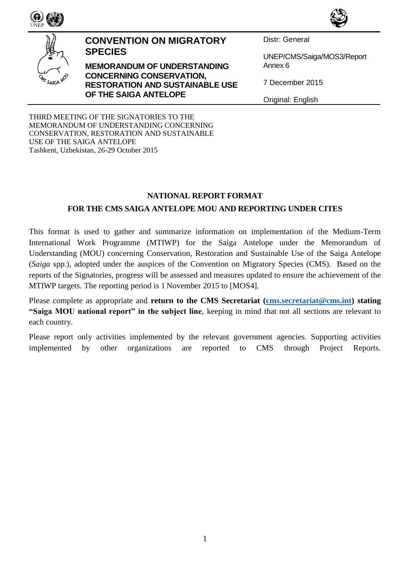

#### **CONVENTION ON MIGRATORY SPECIES**

**MEMORANDUM OF UNDERSTANDING CONCERNING CONSERVATION, RESTORATION AND SUSTAINABLE USE OF THE SAIGA ANTELOPE**

Distr: General

UNEP/CMS/Saiga/MOS3/Report Annex 6

7 December 2015

Original: English

THIRD MEETING OF THE SIGNATORIES TO THE MEMORANDUM OF UNDERSTANDING CONCERNING CONSERVATION, RESTORATION AND SUSTAINABLE USE OF THE SAIGA ANTELOPE Tashkent, Uzbekistan, 26-29 October 2015

#### **NATIONAL REPORT FORMAT**

## **FOR THE CMS SAIGA ANTELOPE MOU AND REPORTING UNDER CITES**

This format is used to gather and summarize information on implementation of the Medium-Term International Work Programme (MTIWP) for the Saiga Antelope under the Memorandum of Understanding (MOU) concerning Conservation, Restoration and Sustainable Use of the Saiga Antelope (*Saiga* spp.), adopted under the auspices of the Convention on Migratory Species (CMS). Based on the reports of the Signatories, progress will be assessed and measures updated to ensure the achievement of the MTIWP targets. The reporting period is 1 November 2015 to [MOS4].

Please complete as appropriate and **return to the CMS Secretariat (cms[.secretariat@cms.int\)](mailto:secretariat@cms.int)** stating **"Saiga MOU national report" in the subject line**, keeping in mind that not all sections are relevant to each country.

Please report only activities implemented by the relevant government agencies. Supporting activities implemented by other organizations are reported to CMS through Project Reports.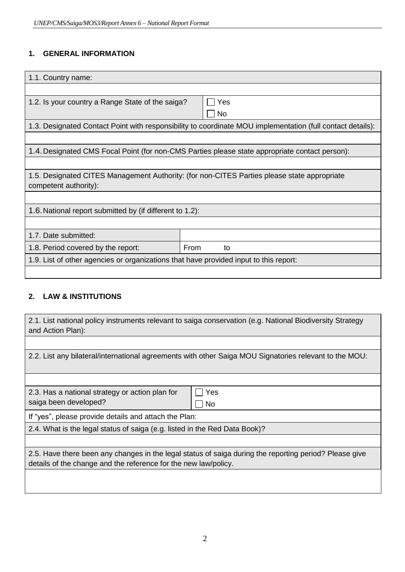## **1. GENERAL INFORMATION**

| 1.1. Country name:                                                                                         |                                                                                                |  |  |  |  |  |
|------------------------------------------------------------------------------------------------------------|------------------------------------------------------------------------------------------------|--|--|--|--|--|
|                                                                                                            |                                                                                                |  |  |  |  |  |
| 1.2. Is your country a Range State of the saiga?                                                           | Yes                                                                                            |  |  |  |  |  |
|                                                                                                            | <b>No</b>                                                                                      |  |  |  |  |  |
| 1.3. Designated Contact Point with responsibility to coordinate MOU implementation (full contact details): |                                                                                                |  |  |  |  |  |
|                                                                                                            |                                                                                                |  |  |  |  |  |
|                                                                                                            | 1.4. Designated CMS Focal Point (for non-CMS Parties please state appropriate contact person): |  |  |  |  |  |
|                                                                                                            |                                                                                                |  |  |  |  |  |
|                                                                                                            | 1.5. Designated CITES Management Authority: (for non-CITES Parties please state appropriate    |  |  |  |  |  |
| competent authority):                                                                                      |                                                                                                |  |  |  |  |  |
|                                                                                                            |                                                                                                |  |  |  |  |  |
| 1.6. National report submitted by (if different to 1.2):                                                   |                                                                                                |  |  |  |  |  |
|                                                                                                            |                                                                                                |  |  |  |  |  |
| 1.7. Date submitted:                                                                                       |                                                                                                |  |  |  |  |  |
| 1.8. Period covered by the report:                                                                         | From<br>to                                                                                     |  |  |  |  |  |
| 1.9. List of other agencies or organizations that have provided input to this report:                      |                                                                                                |  |  |  |  |  |
|                                                                                                            |                                                                                                |  |  |  |  |  |

#### **2. LAW & INSTITUTIONS**

| 2.1. List national policy instruments relevant to saiga conservation (e.g. National Biodiversity Strategy<br>and Action Plan):                                            |           |  |  |  |  |
|---------------------------------------------------------------------------------------------------------------------------------------------------------------------------|-----------|--|--|--|--|
|                                                                                                                                                                           |           |  |  |  |  |
| 2.2. List any bilateral/international agreements with other Saiga MOU Signatories relevant to the MOU:                                                                    |           |  |  |  |  |
|                                                                                                                                                                           |           |  |  |  |  |
| 2.3. Has a national strategy or action plan for                                                                                                                           | Yes       |  |  |  |  |
| saiga been developed?                                                                                                                                                     | <b>No</b> |  |  |  |  |
| If "yes", please provide details and attach the Plan:                                                                                                                     |           |  |  |  |  |
| 2.4. What is the legal status of saiga (e.g. listed in the Red Data Book)?                                                                                                |           |  |  |  |  |
|                                                                                                                                                                           |           |  |  |  |  |
| 2.5. Have there been any changes in the legal status of saiga during the reporting period? Please give<br>details of the change and the reference for the new law/policy. |           |  |  |  |  |
|                                                                                                                                                                           |           |  |  |  |  |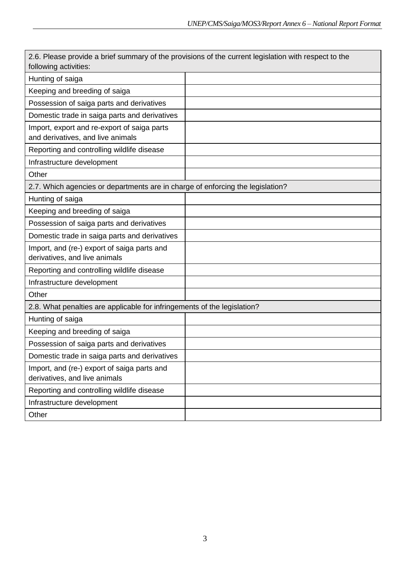| 2.6. Please provide a brief summary of the provisions of the current legislation with respect to the<br>following activities: |  |  |  |  |  |
|-------------------------------------------------------------------------------------------------------------------------------|--|--|--|--|--|
| Hunting of saiga                                                                                                              |  |  |  |  |  |
| Keeping and breeding of saiga                                                                                                 |  |  |  |  |  |
| Possession of saiga parts and derivatives                                                                                     |  |  |  |  |  |
| Domestic trade in saiga parts and derivatives                                                                                 |  |  |  |  |  |
| Import, export and re-export of saiga parts<br>and derivatives, and live animals                                              |  |  |  |  |  |
| Reporting and controlling wildlife disease                                                                                    |  |  |  |  |  |
| Infrastructure development                                                                                                    |  |  |  |  |  |
| Other                                                                                                                         |  |  |  |  |  |
| 2.7. Which agencies or departments are in charge of enforcing the legislation?                                                |  |  |  |  |  |
| Hunting of saiga                                                                                                              |  |  |  |  |  |
| Keeping and breeding of saiga                                                                                                 |  |  |  |  |  |
| Possession of saiga parts and derivatives                                                                                     |  |  |  |  |  |
| Domestic trade in saiga parts and derivatives                                                                                 |  |  |  |  |  |
| Import, and (re-) export of saiga parts and<br>derivatives, and live animals                                                  |  |  |  |  |  |
| Reporting and controlling wildlife disease                                                                                    |  |  |  |  |  |
| Infrastructure development                                                                                                    |  |  |  |  |  |
| Other                                                                                                                         |  |  |  |  |  |
| 2.8. What penalties are applicable for infringements of the legislation?                                                      |  |  |  |  |  |
| Hunting of saiga                                                                                                              |  |  |  |  |  |
| Keeping and breeding of saiga                                                                                                 |  |  |  |  |  |
| Possession of saiga parts and derivatives                                                                                     |  |  |  |  |  |
| Domestic trade in saiga parts and derivatives                                                                                 |  |  |  |  |  |
| Import, and (re-) export of saiga parts and<br>derivatives, and live animals                                                  |  |  |  |  |  |
| Reporting and controlling wildlife disease                                                                                    |  |  |  |  |  |
| Infrastructure development                                                                                                    |  |  |  |  |  |
| Other                                                                                                                         |  |  |  |  |  |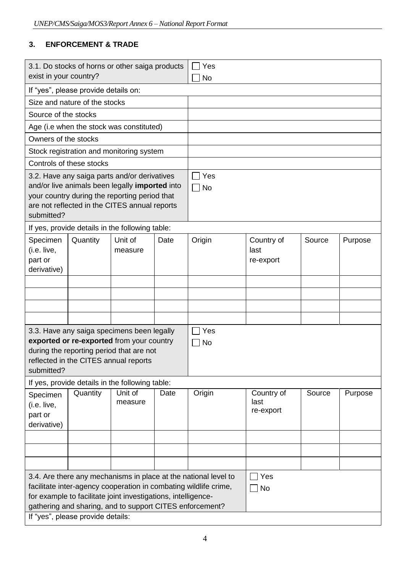# **3. ENFORCEMENT & TRADE**

| 3.1. Do stocks of horns or other saiga products<br>exist in your country?                                                                                                                                                                                                                             |                                      |                                                 |                  | Yes<br>No |                                 |        |         |
|-------------------------------------------------------------------------------------------------------------------------------------------------------------------------------------------------------------------------------------------------------------------------------------------------------|--------------------------------------|-------------------------------------------------|------------------|-----------|---------------------------------|--------|---------|
|                                                                                                                                                                                                                                                                                                       | If "yes", please provide details on: |                                                 |                  |           |                                 |        |         |
|                                                                                                                                                                                                                                                                                                       | Size and nature of the stocks        |                                                 |                  |           |                                 |        |         |
| Source of the stocks                                                                                                                                                                                                                                                                                  |                                      |                                                 |                  |           |                                 |        |         |
|                                                                                                                                                                                                                                                                                                       |                                      | Age (i.e when the stock was constituted)        |                  |           |                                 |        |         |
| Owners of the stocks                                                                                                                                                                                                                                                                                  |                                      |                                                 |                  |           |                                 |        |         |
|                                                                                                                                                                                                                                                                                                       |                                      | Stock registration and monitoring system        |                  |           |                                 |        |         |
|                                                                                                                                                                                                                                                                                                       | Controls of these stocks             |                                                 |                  |           |                                 |        |         |
| 3.2. Have any saiga parts and/or derivatives<br>and/or live animals been legally imported into<br>your country during the reporting period that<br>are not reflected in the CITES annual reports<br>submitted?                                                                                        |                                      |                                                 | Yes<br><b>No</b> |           |                                 |        |         |
|                                                                                                                                                                                                                                                                                                       |                                      | If yes, provide details in the following table: |                  |           |                                 |        |         |
| Specimen<br>(i.e. live,<br>part or<br>derivative)                                                                                                                                                                                                                                                     | Quantity                             | Unit of<br>measure                              | Date             | Origin    | Country of<br>last<br>re-export | Source | Purpose |
|                                                                                                                                                                                                                                                                                                       |                                      |                                                 |                  |           |                                 |        |         |
|                                                                                                                                                                                                                                                                                                       |                                      |                                                 |                  |           |                                 |        |         |
|                                                                                                                                                                                                                                                                                                       |                                      |                                                 |                  |           |                                 |        |         |
|                                                                                                                                                                                                                                                                                                       |                                      |                                                 |                  |           |                                 |        |         |
| 3.3. Have any saiga specimens been legally<br>exported or re-exported from your country<br>during the reporting period that are not<br>reflected in the CITES annual reports<br>submitted?                                                                                                            |                                      |                                                 | Yes<br>No        |           |                                 |        |         |
|                                                                                                                                                                                                                                                                                                       |                                      | If yes, provide details in the following table: |                  |           |                                 |        |         |
| Specimen<br>(i.e. live,<br>part or<br>derivative)                                                                                                                                                                                                                                                     | Quantity                             | Unit of<br>measure                              | Date             | Origin    | Country of<br>last<br>re-export | Source | Purpose |
|                                                                                                                                                                                                                                                                                                       |                                      |                                                 |                  |           |                                 |        |         |
|                                                                                                                                                                                                                                                                                                       |                                      |                                                 |                  |           |                                 |        |         |
|                                                                                                                                                                                                                                                                                                       |                                      |                                                 |                  |           |                                 |        |         |
| 3.4. Are there any mechanisms in place at the national level to<br>facilitate inter-agency cooperation in combating wildlife crime,<br>for example to facilitate joint investigations, intelligence-<br>gathering and sharing, and to support CITES enforcement?<br>If "yes", please provide details: |                                      |                                                 |                  |           | Yes<br>No                       |        |         |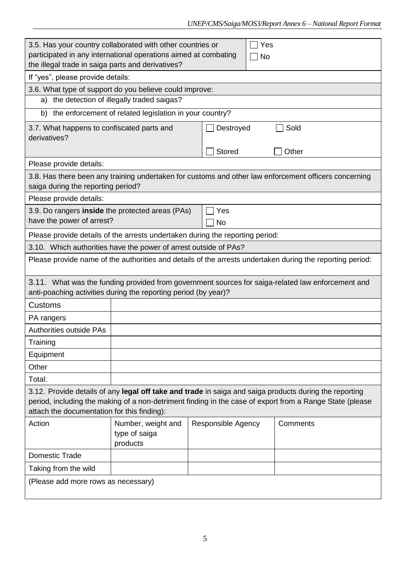| 3.5. Has your country collaborated with other countries or<br>participated in any international operations aimed at combating                                                                                                                                     |                                                         |                    | Yes                                                                                                       |  |  |  |  |  |
|-------------------------------------------------------------------------------------------------------------------------------------------------------------------------------------------------------------------------------------------------------------------|---------------------------------------------------------|--------------------|-----------------------------------------------------------------------------------------------------------|--|--|--|--|--|
| the illegal trade in saiga parts and derivatives?                                                                                                                                                                                                                 |                                                         |                    | No                                                                                                        |  |  |  |  |  |
| If "yes", please provide details:                                                                                                                                                                                                                                 |                                                         |                    |                                                                                                           |  |  |  |  |  |
| 3.6. What type of support do you believe could improve:                                                                                                                                                                                                           |                                                         |                    |                                                                                                           |  |  |  |  |  |
|                                                                                                                                                                                                                                                                   | a) the detection of illegally traded saigas?            |                    |                                                                                                           |  |  |  |  |  |
| b)                                                                                                                                                                                                                                                                | the enforcement of related legislation in your country? |                    |                                                                                                           |  |  |  |  |  |
| 3.7. What happens to confiscated parts and                                                                                                                                                                                                                        |                                                         | Destroyed          | Sold                                                                                                      |  |  |  |  |  |
| derivatives?                                                                                                                                                                                                                                                      |                                                         |                    |                                                                                                           |  |  |  |  |  |
|                                                                                                                                                                                                                                                                   |                                                         | Stored             | Other                                                                                                     |  |  |  |  |  |
| Please provide details:                                                                                                                                                                                                                                           |                                                         |                    |                                                                                                           |  |  |  |  |  |
| saiga during the reporting period?                                                                                                                                                                                                                                |                                                         |                    | 3.8. Has there been any training undertaken for customs and other law enforcement officers concerning     |  |  |  |  |  |
| Please provide details:                                                                                                                                                                                                                                           |                                                         |                    |                                                                                                           |  |  |  |  |  |
| 3.9. Do rangers inside the protected areas (PAs)                                                                                                                                                                                                                  |                                                         | Yes                |                                                                                                           |  |  |  |  |  |
| have the power of arrest?                                                                                                                                                                                                                                         |                                                         | <b>No</b>          |                                                                                                           |  |  |  |  |  |
| Please provide details of the arrests undertaken during the reporting period:                                                                                                                                                                                     |                                                         |                    |                                                                                                           |  |  |  |  |  |
| 3.10. Which authorities have the power of arrest outside of PAs?                                                                                                                                                                                                  |                                                         |                    |                                                                                                           |  |  |  |  |  |
|                                                                                                                                                                                                                                                                   |                                                         |                    | Please provide name of the authorities and details of the arrests undertaken during the reporting period: |  |  |  |  |  |
| anti-poaching activities during the reporting period (by year)?                                                                                                                                                                                                   |                                                         |                    | 3.11. What was the funding provided from government sources for saiga-related law enforcement and         |  |  |  |  |  |
| <b>Customs</b>                                                                                                                                                                                                                                                    |                                                         |                    |                                                                                                           |  |  |  |  |  |
| PA rangers                                                                                                                                                                                                                                                        |                                                         |                    |                                                                                                           |  |  |  |  |  |
| <b>Authorities outside PAs</b>                                                                                                                                                                                                                                    |                                                         |                    |                                                                                                           |  |  |  |  |  |
| Training                                                                                                                                                                                                                                                          |                                                         |                    |                                                                                                           |  |  |  |  |  |
| Equipment                                                                                                                                                                                                                                                         |                                                         |                    |                                                                                                           |  |  |  |  |  |
| Other                                                                                                                                                                                                                                                             |                                                         |                    |                                                                                                           |  |  |  |  |  |
| Total:                                                                                                                                                                                                                                                            |                                                         |                    |                                                                                                           |  |  |  |  |  |
| 3.12. Provide details of any legal off take and trade in saiga and saiga products during the reporting<br>period, including the making of a non-detriment finding in the case of export from a Range State (please<br>attach the documentation for this finding): |                                                         |                    |                                                                                                           |  |  |  |  |  |
| Action                                                                                                                                                                                                                                                            | Number, weight and<br>type of saiga<br>products         | Responsible Agency | Comments                                                                                                  |  |  |  |  |  |
| <b>Domestic Trade</b>                                                                                                                                                                                                                                             |                                                         |                    |                                                                                                           |  |  |  |  |  |
| Taking from the wild                                                                                                                                                                                                                                              |                                                         |                    |                                                                                                           |  |  |  |  |  |
| (Please add more rows as necessary)                                                                                                                                                                                                                               |                                                         |                    |                                                                                                           |  |  |  |  |  |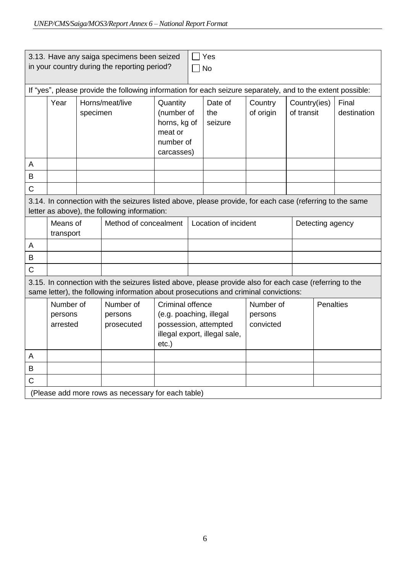| 3.13. Have any saiga specimens been seized<br>Yes<br>in your country during the reporting period?<br><b>No</b> |                                                                                                                                                          |                             |                                                                                                                                                                                                 |                                                                                                                          |  |                                   |                      |                            |                  |                      |
|----------------------------------------------------------------------------------------------------------------|----------------------------------------------------------------------------------------------------------------------------------------------------------|-----------------------------|-------------------------------------------------------------------------------------------------------------------------------------------------------------------------------------------------|--------------------------------------------------------------------------------------------------------------------------|--|-----------------------------------|----------------------|----------------------------|------------------|----------------------|
| If "yes", please provide the following information for each seizure separately, and to the extent possible:    |                                                                                                                                                          |                             |                                                                                                                                                                                                 |                                                                                                                          |  |                                   |                      |                            |                  |                      |
|                                                                                                                | Year                                                                                                                                                     | Horns/meat/live<br>specimen |                                                                                                                                                                                                 | Quantity<br>(number of<br>horns, kg of<br>meat or<br>number of<br>carcasses)                                             |  | Date of<br>the<br>seizure         | Country<br>of origin | Country(ies)<br>of transit |                  | Final<br>destination |
| A                                                                                                              |                                                                                                                                                          |                             |                                                                                                                                                                                                 |                                                                                                                          |  |                                   |                      |                            |                  |                      |
| B                                                                                                              |                                                                                                                                                          |                             |                                                                                                                                                                                                 |                                                                                                                          |  |                                   |                      |                            |                  |                      |
| C                                                                                                              |                                                                                                                                                          |                             |                                                                                                                                                                                                 |                                                                                                                          |  |                                   |                      |                            |                  |                      |
|                                                                                                                | 3.14. In connection with the seizures listed above, please provide, for each case (referring to the same<br>letter as above), the following information: |                             |                                                                                                                                                                                                 |                                                                                                                          |  |                                   |                      |                            |                  |                      |
|                                                                                                                | Means of<br>transport                                                                                                                                    |                             | Method of concealment                                                                                                                                                                           |                                                                                                                          |  | Location of incident              |                      |                            | Detecting agency |                      |
| A                                                                                                              |                                                                                                                                                          |                             |                                                                                                                                                                                                 |                                                                                                                          |  |                                   |                      |                            |                  |                      |
| B                                                                                                              |                                                                                                                                                          |                             |                                                                                                                                                                                                 |                                                                                                                          |  |                                   |                      |                            |                  |                      |
| $\overline{C}$                                                                                                 |                                                                                                                                                          |                             |                                                                                                                                                                                                 |                                                                                                                          |  |                                   |                      |                            |                  |                      |
|                                                                                                                |                                                                                                                                                          |                             | 3.15. In connection with the seizures listed above, please provide also for each case (referring to the<br>same letter), the following information about prosecutions and criminal convictions: |                                                                                                                          |  |                                   |                      |                            |                  |                      |
|                                                                                                                | Number of<br>persons<br>arrested                                                                                                                         |                             | Number of<br>persons<br>prosecuted                                                                                                                                                              | <b>Criminal offence</b><br>(e.g. poaching, illegal<br>possession, attempted<br>illegal export, illegal sale,<br>$etc.$ ) |  | Number of<br>persons<br>convicted |                      | <b>Penalties</b>           |                  |                      |
| A                                                                                                              |                                                                                                                                                          |                             |                                                                                                                                                                                                 |                                                                                                                          |  |                                   |                      |                            |                  |                      |
| B                                                                                                              |                                                                                                                                                          |                             |                                                                                                                                                                                                 |                                                                                                                          |  |                                   |                      |                            |                  |                      |
| C                                                                                                              |                                                                                                                                                          |                             |                                                                                                                                                                                                 |                                                                                                                          |  |                                   |                      |                            |                  |                      |
|                                                                                                                |                                                                                                                                                          |                             | (Please add more rows as necessary for each table)                                                                                                                                              |                                                                                                                          |  |                                   |                      |                            |                  |                      |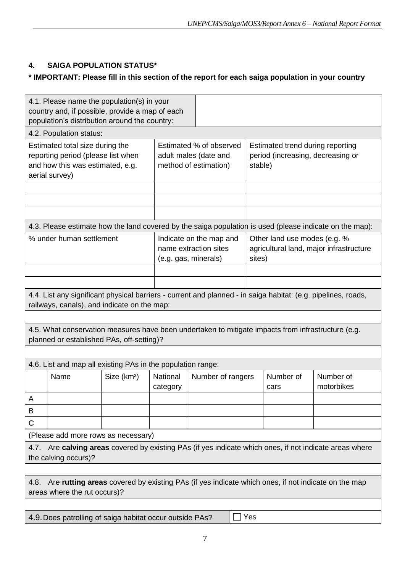# **4. SAIGA POPULATION STATUS\***

## **\* IMPORTANT: Please fill in this section of the report for each saiga population in your country**

| 4.1. Please name the population(s) in your<br>country and, if possible, provide a map of each<br>population's distribution around the country: |                                                                                                                                                 |                         |                                                                           |                   |                                                                                   |                   |                                                                                                               |  |  |
|------------------------------------------------------------------------------------------------------------------------------------------------|-------------------------------------------------------------------------------------------------------------------------------------------------|-------------------------|---------------------------------------------------------------------------|-------------------|-----------------------------------------------------------------------------------|-------------------|---------------------------------------------------------------------------------------------------------------|--|--|
|                                                                                                                                                | 4.2. Population status:                                                                                                                         |                         |                                                                           |                   |                                                                                   |                   |                                                                                                               |  |  |
| Estimated total size during the<br>reporting period (please list when<br>and how this was estimated, e.g.<br>aerial survey)                    |                                                                                                                                                 |                         | Estimated % of observed<br>adult males (date and<br>method of estimation) |                   | Estimated trend during reporting<br>period (increasing, decreasing or<br>stable)  |                   |                                                                                                               |  |  |
|                                                                                                                                                |                                                                                                                                                 |                         |                                                                           |                   |                                                                                   |                   |                                                                                                               |  |  |
|                                                                                                                                                |                                                                                                                                                 |                         |                                                                           |                   |                                                                                   |                   |                                                                                                               |  |  |
|                                                                                                                                                |                                                                                                                                                 |                         |                                                                           |                   |                                                                                   |                   | 4.3. Please estimate how the land covered by the saiga population is used (please indicate on the map):       |  |  |
| % under human settlement                                                                                                                       |                                                                                                                                                 |                         | Indicate on the map and<br>name extraction sites<br>(e.g. gas, minerals)  |                   | Other land use modes (e.g. %<br>agricultural land, major infrastructure<br>sites) |                   |                                                                                                               |  |  |
|                                                                                                                                                |                                                                                                                                                 |                         |                                                                           |                   |                                                                                   |                   |                                                                                                               |  |  |
|                                                                                                                                                |                                                                                                                                                 |                         |                                                                           |                   |                                                                                   |                   |                                                                                                               |  |  |
|                                                                                                                                                | railways, canals), and indicate on the map:                                                                                                     |                         |                                                                           |                   |                                                                                   |                   | 4.4. List any significant physical barriers - current and planned - in saiga habitat: (e.g. pipelines, roads, |  |  |
|                                                                                                                                                |                                                                                                                                                 |                         |                                                                           |                   |                                                                                   |                   |                                                                                                               |  |  |
|                                                                                                                                                | 4.5. What conservation measures have been undertaken to mitigate impacts from infrastructure (e.g.<br>planned or established PAs, off-setting)? |                         |                                                                           |                   |                                                                                   |                   |                                                                                                               |  |  |
|                                                                                                                                                |                                                                                                                                                 |                         |                                                                           |                   |                                                                                   |                   |                                                                                                               |  |  |
|                                                                                                                                                | 4.6. List and map all existing PAs in the population range:                                                                                     |                         |                                                                           |                   |                                                                                   |                   |                                                                                                               |  |  |
|                                                                                                                                                | Name                                                                                                                                            | Size (km <sup>2</sup> ) | National<br>category                                                      | Number of rangers |                                                                                   | Number of<br>cars | Number of<br>motorbikes                                                                                       |  |  |
| А                                                                                                                                              |                                                                                                                                                 |                         |                                                                           |                   |                                                                                   |                   |                                                                                                               |  |  |
| В                                                                                                                                              |                                                                                                                                                 |                         |                                                                           |                   |                                                                                   |                   |                                                                                                               |  |  |
| С                                                                                                                                              |                                                                                                                                                 |                         |                                                                           |                   |                                                                                   |                   |                                                                                                               |  |  |
|                                                                                                                                                | (Please add more rows as necessary)                                                                                                             |                         |                                                                           |                   |                                                                                   |                   |                                                                                                               |  |  |
|                                                                                                                                                | the calving occurs)?                                                                                                                            |                         |                                                                           |                   |                                                                                   |                   | 4.7. Are calving areas covered by existing PAs (if yes indicate which ones, if not indicate areas where       |  |  |
|                                                                                                                                                |                                                                                                                                                 |                         |                                                                           |                   |                                                                                   |                   |                                                                                                               |  |  |
| Are rutting areas covered by existing PAs (if yes indicate which ones, if not indicate on the map<br>4.8.<br>areas where the rut occurs)?      |                                                                                                                                                 |                         |                                                                           |                   |                                                                                   |                   |                                                                                                               |  |  |
|                                                                                                                                                |                                                                                                                                                 |                         |                                                                           |                   |                                                                                   |                   |                                                                                                               |  |  |
|                                                                                                                                                | Yes<br>4.9. Does patrolling of saiga habitat occur outside PAs?                                                                                 |                         |                                                                           |                   |                                                                                   |                   |                                                                                                               |  |  |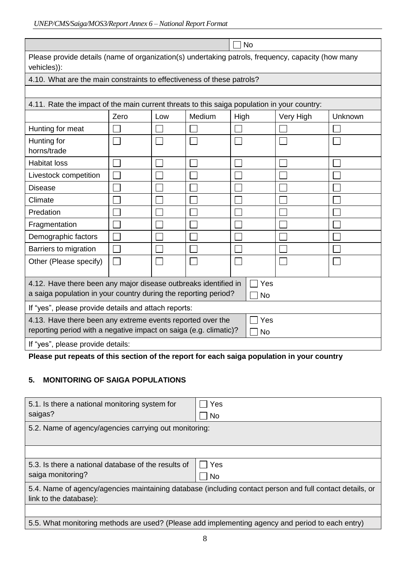| UNEP/CMS/Saiga/MOS3/Report Annex 6 - National Report Format |  |
|-------------------------------------------------------------|--|
|                                                             |  |

| <b>No</b>                                                                                                                                              |      |     |        |           |           |         |  |  |
|--------------------------------------------------------------------------------------------------------------------------------------------------------|------|-----|--------|-----------|-----------|---------|--|--|
| Please provide details (name of organization(s) undertaking patrols, frequency, capacity (how many<br>vehicles)):                                      |      |     |        |           |           |         |  |  |
| 4.10. What are the main constraints to effectiveness of these patrols?                                                                                 |      |     |        |           |           |         |  |  |
|                                                                                                                                                        |      |     |        |           |           |         |  |  |
| 4.11. Rate the impact of the main current threats to this saiga population in your country:                                                            |      |     |        |           |           |         |  |  |
|                                                                                                                                                        | Zero | Low | Medium | High      | Very High | Unknown |  |  |
| Hunting for meat                                                                                                                                       |      |     |        |           |           |         |  |  |
| Hunting for<br>horns/trade                                                                                                                             |      |     |        |           |           |         |  |  |
| <b>Habitat loss</b>                                                                                                                                    |      |     |        |           |           |         |  |  |
| Livestock competition                                                                                                                                  |      |     |        |           |           |         |  |  |
| <b>Disease</b>                                                                                                                                         |      |     |        |           |           |         |  |  |
| Climate                                                                                                                                                |      |     |        |           |           |         |  |  |
| Predation                                                                                                                                              |      |     |        |           |           |         |  |  |
| Fragmentation                                                                                                                                          |      |     |        |           |           |         |  |  |
| Demographic factors                                                                                                                                    |      |     |        |           |           |         |  |  |
| Barriers to migration                                                                                                                                  |      |     |        |           |           |         |  |  |
| Other (Please specify)                                                                                                                                 |      |     |        |           |           |         |  |  |
| Yes<br>4.12. Have there been any major disease outbreaks identified in<br>a saiga population in your country during the reporting period?<br><b>No</b> |      |     |        |           |           |         |  |  |
| If "yes", please provide details and attach reports:                                                                                                   |      |     |        |           |           |         |  |  |
| 4.13. Have there been any extreme events reported over the<br>reporting period with a negative impact on saiga (e.g. climatic)?                        |      |     |        | Yes<br>No |           |         |  |  |
| If "yes", please provide details:                                                                                                                      |      |     |        |           |           |         |  |  |

**Please put repeats of this section of the report for each saiga population in your country**

#### **5. MONITORING OF SAIGA POPULATIONS**

| 5.1. Is there a national monitoring system for<br>saigas?                                                                          | Yes<br><b>No</b> |  |  |  |  |  |
|------------------------------------------------------------------------------------------------------------------------------------|------------------|--|--|--|--|--|
| 5.2. Name of agency/agencies carrying out monitoring:                                                                              |                  |  |  |  |  |  |
|                                                                                                                                    |                  |  |  |  |  |  |
| 5.3. Is there a national database of the results of<br>saiga monitoring?                                                           | Yes<br><b>No</b> |  |  |  |  |  |
| 5.4. Name of agency/agencies maintaining database (including contact person and full contact details, or<br>link to the database): |                  |  |  |  |  |  |
|                                                                                                                                    |                  |  |  |  |  |  |
| 5.5. What monitoring methods are used? (Please add implementing agency and period to each entry)                                   |                  |  |  |  |  |  |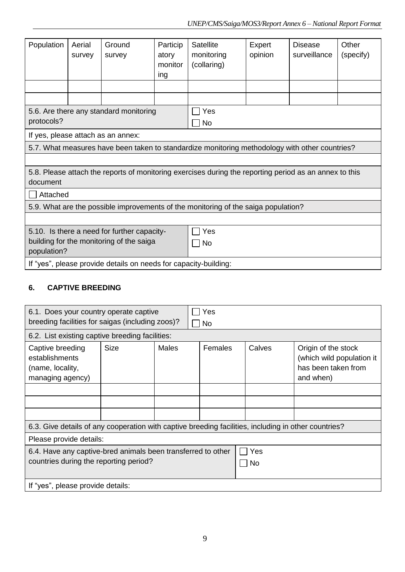| Population                                                       | Aerial | Ground                                      | Particip | Satellite                                                                                              | Expert  | Disease      | Other     |  |
|------------------------------------------------------------------|--------|---------------------------------------------|----------|--------------------------------------------------------------------------------------------------------|---------|--------------|-----------|--|
|                                                                  | survey | survey                                      | atory    | monitoring                                                                                             | opinion | surveillance | (specify) |  |
|                                                                  |        |                                             | monitor  | (collaring)                                                                                            |         |              |           |  |
|                                                                  |        |                                             | ing      |                                                                                                        |         |              |           |  |
|                                                                  |        |                                             |          |                                                                                                        |         |              |           |  |
|                                                                  |        |                                             |          |                                                                                                        |         |              |           |  |
|                                                                  |        |                                             |          |                                                                                                        |         |              |           |  |
|                                                                  |        | 5.6. Are there any standard monitoring      |          | Yes                                                                                                    |         |              |           |  |
| protocols?                                                       |        |                                             |          | <b>No</b>                                                                                              |         |              |           |  |
|                                                                  |        | If yes, please attach as an annex:          |          |                                                                                                        |         |              |           |  |
|                                                                  |        |                                             |          | 5.7. What measures have been taken to standardize monitoring methodology with other countries?         |         |              |           |  |
|                                                                  |        |                                             |          |                                                                                                        |         |              |           |  |
|                                                                  |        |                                             |          | 5.8. Please attach the reports of monitoring exercises during the reporting period as an annex to this |         |              |           |  |
| document                                                         |        |                                             |          |                                                                                                        |         |              |           |  |
| Attached                                                         |        |                                             |          |                                                                                                        |         |              |           |  |
|                                                                  |        |                                             |          | 5.9. What are the possible improvements of the monitoring of the saiga population?                     |         |              |           |  |
|                                                                  |        |                                             |          |                                                                                                        |         |              |           |  |
|                                                                  |        | 5.10. Is there a need for further capacity- |          | Yes                                                                                                    |         |              |           |  |
| building for the monitoring of the saiga                         |        |                                             |          | No                                                                                                     |         |              |           |  |
| population?                                                      |        |                                             |          |                                                                                                        |         |              |           |  |
| If "yes", please provide details on needs for capacity-building: |        |                                             |          |                                                                                                        |         |              |           |  |

## **6. CAPTIVE BREEDING**

| 6.1. Does your country operate captive<br>breeding facilities for saigas (including zoos)?             |             |              | Yes<br>No        |        |                                                                                      |  |  |
|--------------------------------------------------------------------------------------------------------|-------------|--------------|------------------|--------|--------------------------------------------------------------------------------------|--|--|
| 6.2. List existing captive breeding facilities:                                                        |             |              |                  |        |                                                                                      |  |  |
| Captive breeding<br>establishments<br>(name, locality,<br>managing agency)                             | <b>Size</b> | <b>Males</b> | Females          | Calves | Origin of the stock<br>(which wild population it<br>has been taken from<br>and when) |  |  |
|                                                                                                        |             |              |                  |        |                                                                                      |  |  |
|                                                                                                        |             |              |                  |        |                                                                                      |  |  |
|                                                                                                        |             |              |                  |        |                                                                                      |  |  |
| 6.3. Give details of any cooperation with captive breeding facilities, including in other countries?   |             |              |                  |        |                                                                                      |  |  |
| Please provide details:                                                                                |             |              |                  |        |                                                                                      |  |  |
| 6.4. Have any captive-bred animals been transferred to other<br>countries during the reporting period? |             |              | Yes<br><b>No</b> |        |                                                                                      |  |  |
| If "yes", please provide details:                                                                      |             |              |                  |        |                                                                                      |  |  |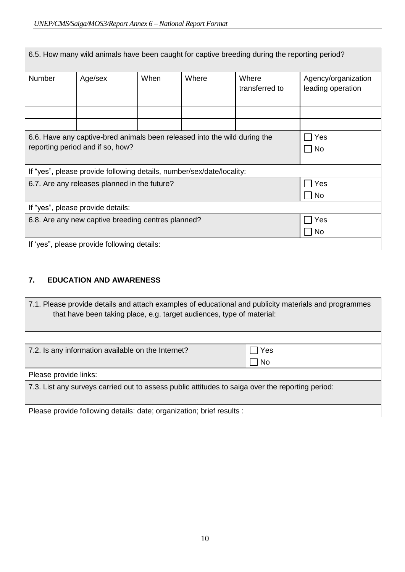| 6.5. How many wild animals have been caught for captive breeding during the reporting period?                 |           |      |       |                         |                                          |  |
|---------------------------------------------------------------------------------------------------------------|-----------|------|-------|-------------------------|------------------------------------------|--|
| <b>Number</b>                                                                                                 | Age/sex   | When | Where | Where<br>transferred to | Agency/organization<br>leading operation |  |
|                                                                                                               |           |      |       |                         |                                          |  |
|                                                                                                               |           |      |       |                         |                                          |  |
|                                                                                                               |           |      |       |                         |                                          |  |
| 6.6. Have any captive-bred animals been released into the wild during the<br>reporting period and if so, how? | Yes<br>No |      |       |                         |                                          |  |
|                                                                                                               |           |      |       |                         |                                          |  |
| If "yes", please provide following details, number/sex/date/locality:                                         |           |      |       |                         |                                          |  |
| 6.7. Are any releases planned in the future?                                                                  | Yes       |      |       |                         |                                          |  |
|                                                                                                               | <b>No</b> |      |       |                         |                                          |  |
| If "yes", please provide details:                                                                             |           |      |       |                         |                                          |  |
| 6.8. Are any new captive breeding centres planned?                                                            | Yes       |      |       |                         |                                          |  |
|                                                                                                               |           |      |       |                         | No.                                      |  |
| If 'yes", please provide following details:                                                                   |           |      |       |                         |                                          |  |

# **7. EDUCATION AND AWARENESS**

| 7.1. Please provide details and attach examples of educational and publicity materials and programmes<br>that have been taking place, e.g. target audiences, type of material: |           |  |  |  |
|--------------------------------------------------------------------------------------------------------------------------------------------------------------------------------|-----------|--|--|--|
|                                                                                                                                                                                |           |  |  |  |
| 7.2. Is any information available on the Internet?                                                                                                                             | Yes       |  |  |  |
|                                                                                                                                                                                | <b>No</b> |  |  |  |
| Please provide links:                                                                                                                                                          |           |  |  |  |
| 7.3. List any surveys carried out to assess public attitudes to saiga over the reporting period:                                                                               |           |  |  |  |
|                                                                                                                                                                                |           |  |  |  |
| Please provide following details: date; organization; brief results :                                                                                                          |           |  |  |  |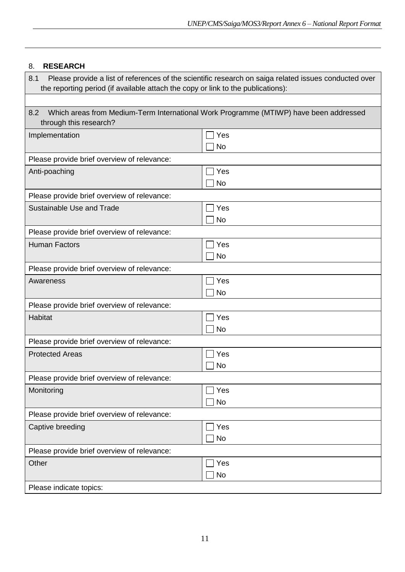# 8. **RESEARCH**

| Please provide a list of references of the scientific research on saiga related issues conducted over<br>8.1<br>the reporting period (if available attach the copy or link to the publications): |                  |  |  |  |  |
|--------------------------------------------------------------------------------------------------------------------------------------------------------------------------------------------------|------------------|--|--|--|--|
|                                                                                                                                                                                                  |                  |  |  |  |  |
| 8.2<br>Which areas from Medium-Term International Work Programme (MTIWP) have been addressed<br>through this research?                                                                           |                  |  |  |  |  |
| Implementation                                                                                                                                                                                   | Yes<br><b>No</b> |  |  |  |  |
| Please provide brief overview of relevance:                                                                                                                                                      |                  |  |  |  |  |
| Anti-poaching                                                                                                                                                                                    | Yes              |  |  |  |  |
|                                                                                                                                                                                                  | <b>No</b>        |  |  |  |  |
| Please provide brief overview of relevance:                                                                                                                                                      |                  |  |  |  |  |
| Sustainable Use and Trade                                                                                                                                                                        | Yes              |  |  |  |  |
|                                                                                                                                                                                                  | <b>No</b>        |  |  |  |  |
| Please provide brief overview of relevance:                                                                                                                                                      |                  |  |  |  |  |
| <b>Human Factors</b>                                                                                                                                                                             | Yes              |  |  |  |  |
|                                                                                                                                                                                                  | <b>No</b>        |  |  |  |  |
| Please provide brief overview of relevance:                                                                                                                                                      |                  |  |  |  |  |
| Awareness                                                                                                                                                                                        | Yes              |  |  |  |  |
|                                                                                                                                                                                                  | <b>No</b>        |  |  |  |  |
| Please provide brief overview of relevance:                                                                                                                                                      |                  |  |  |  |  |
| Habitat                                                                                                                                                                                          | Yes              |  |  |  |  |
|                                                                                                                                                                                                  | <b>No</b>        |  |  |  |  |
| Please provide brief overview of relevance:                                                                                                                                                      |                  |  |  |  |  |
| <b>Protected Areas</b>                                                                                                                                                                           | Yes              |  |  |  |  |
|                                                                                                                                                                                                  | <b>No</b>        |  |  |  |  |
| Please provide brief overview of relevance:                                                                                                                                                      |                  |  |  |  |  |
| Monitoring                                                                                                                                                                                       | Yes              |  |  |  |  |
|                                                                                                                                                                                                  | No               |  |  |  |  |
| Please provide brief overview of relevance:                                                                                                                                                      |                  |  |  |  |  |
| Captive breeding                                                                                                                                                                                 | Yes              |  |  |  |  |
|                                                                                                                                                                                                  | No               |  |  |  |  |
| Please provide brief overview of relevance:                                                                                                                                                      |                  |  |  |  |  |
| Other                                                                                                                                                                                            | Yes              |  |  |  |  |
|                                                                                                                                                                                                  | No               |  |  |  |  |
| Please indicate topics:                                                                                                                                                                          |                  |  |  |  |  |